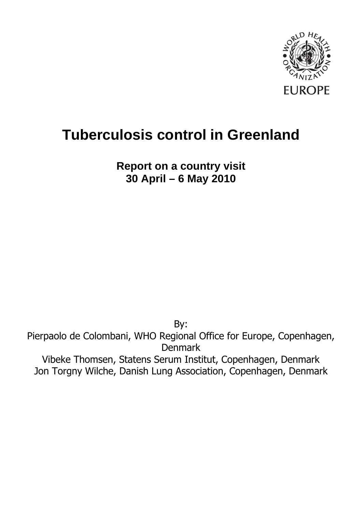

# **Tuberculosis control in Greenland**

**Report on a country visit 30 April – 6 May 2010**

By: Pierpaolo de Colombani, WHO Regional Office for Europe, Copenhagen, Denmark Vibeke Thomsen, Statens Serum Institut, Copenhagen, Denmark Jon Torgny Wilche, Danish Lung Association, Copenhagen, Denmark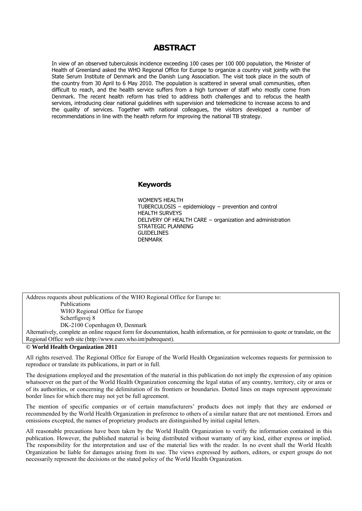#### **ABSTRACT**

In view of an observed tuberculosis incidence exceeding 100 cases per 100 000 population, the Minister of Health of Greenland asked the WHO Regional Office for Europe to organize a country visit jointly with the State Serum Institute of Denmark and the Danish Lung Association. The visit took place in the south of the country from 30 April to 6 May 2010. The population is scattered in several small communities, often difficult to reach, and the health service suffers from a high turnover of staff who mostly come from Denmark. The recent health reform has tried to address both challenges and to refocus the health services, introducing clear national guidelines with supervision and telemedicine to increase access to and the quality of services. Together with national colleagues, the visitors developed a number of recommendations in line with the health reform for improving the national TB strategy.

#### **Keywords**

WOMEN'S HEALTH TUBERCULOSIS − epidemiology − prevention and control HEALTH SURVEYS DELIVERY OF HEALTH CARE − organization and administration STRATEGIC PLANNING **GUIDELINES** DENMARK

Address requests about publications of the WHO Regional Office for Europe to: Publications WHO Regional Office for Europe Scherfigsvej 8 DK-2100 Copenhagen Ø, Denmark Alternatively, complete an online request form for documentation, health information, or for permission to quote or translate, on the Regional Office web site (http://www.euro.who.int/pubrequest).

#### **© World Health Organization 2011**

All rights reserved. The Regional Office for Europe of the World Health Organization welcomes requests for permission to reproduce or translate its publications, in part or in full.

The designations employed and the presentation of the material in this publication do not imply the expression of any opinion whatsoever on the part of the World Health Organization concerning the legal status of any country, territory, city or area or of its authorities, or concerning the delimitation of its frontiers or boundaries. Dotted lines on maps represent approximate border lines for which there may not yet be full agreement.

The mention of specific companies or of certain manufacturers' products does not imply that they are endorsed or recommended by the World Health Organization in preference to others of a similar nature that are not mentioned. Errors and omissions excepted, the names of proprietary products are distinguished by initial capital letters.

All reasonable precautions have been taken by the World Health Organization to verify the information contained in this publication. However, the published material is being distributed without warranty of any kind, either express or implied. The responsibility for the interpretation and use of the material lies with the reader. In no event shall the World Health Organization be liable for damages arising from its use. The views expressed by authors, editors, or expert groups do not necessarily represent the decisions or the stated policy of the World Health Organization.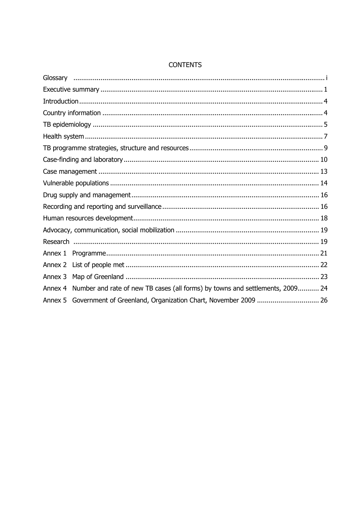| Annex 1 |                                                                               |  |
|---------|-------------------------------------------------------------------------------|--|
|         |                                                                               |  |
| Annex 3 |                                                                               |  |
| Annex 4 | Number and rate of new TB cases (all forms) by towns and settlements, 2009 24 |  |
|         | Annex 5 Government of Greenland, Organization Chart, November 2009  26        |  |

#### **CONTENTS**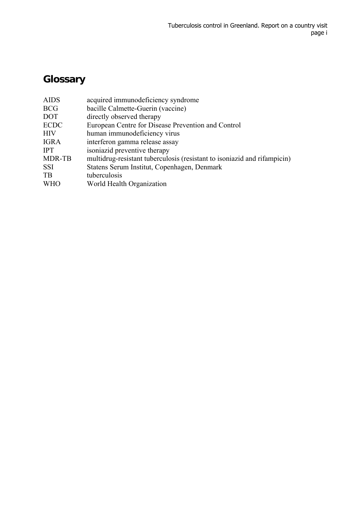## **Glossary**

| <b>AIDS</b> | acquired immunodeficiency syndrome                                       |
|-------------|--------------------------------------------------------------------------|
| <b>BCG</b>  | bacille Calmette-Guerin (vaccine)                                        |
| <b>DOT</b>  | directly observed therapy                                                |
| <b>ECDC</b> | European Centre for Disease Prevention and Control                       |
| <b>HIV</b>  | human immunodeficiency virus                                             |
| <b>IGRA</b> | interferon gamma release assay                                           |
| <b>IPT</b>  | isoniazid preventive therapy                                             |
| MDR-TB      | multidrug-resistant tuberculosis (resistant to isoniazid and rifampicin) |
| <b>SSI</b>  | Statens Serum Institut, Copenhagen, Denmark                              |
| <b>TB</b>   | tuberculosis                                                             |
| <b>WHO</b>  | World Health Organization                                                |
|             |                                                                          |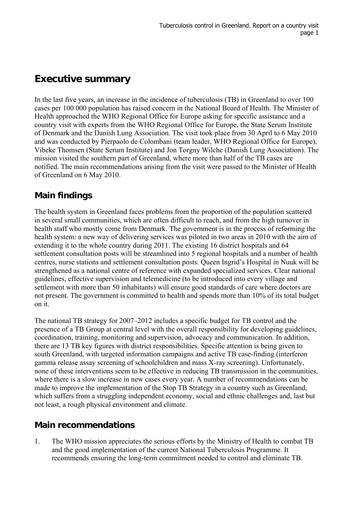### **Executive summary**

In the last five years, an increase in the incidence of tuberculosis (TB) in Greenland to over 100 cases per 100 000 population has raised concern in the National Board of Health. The Minister of Health approached the WHO Regional Office for Europe asking for specific assistance and a country visit with experts from the WHO Regional Office for Europe, the State Serum Institute of Denmark and the Danish Lung Association. The visit took place from 30 April to 6 May 2010 and was conducted by Pierpaolo de Colombani (team leader, WHO Regional Office for Europe), Vibeke Thomsen (State Serum Institute) and Jon Torgny Wilche (Danish Lung Association). The mission visited the southern part of Greenland, where more than half of the TB cases are notified. The main recommendations arising from the visit were passed to the Minister of Health of Greenland on 6 May 2010.

### **Main findings**

The health system in Greenland faces problems from the proportion of the population scattered in several small communities, which are often difficult to reach, and from the high turnover in health staff who mostly come from Denmark. The government is in the process of reforming the health system: a new way of delivering services was piloted in two areas in 2010 with the aim of extending it to the whole country during 2011. The existing 16 district hospitals and 64 settlement consultation posts will be streamlined into 5 regional hospitals and a number of health centres, nurse stations and settlement consultation posts. Queen Ingrid's Hospital in Nuuk will be strengthened as a national centre of reference with expanded specialized services. Clear national guidelines, effective supervision and telemedicine (to be introduced into every village and settlement with more than 50 inhabitants) will ensure good standards of care where doctors are not present. The government is committed to health and spends more than 10% of its total budget on it.

The national TB strategy for 2007–2012 includes a specific budget for TB control and the presence of a TB Group at central level with the overall responsibility for developing guidelines, coordination, training, monitoring and supervision, advocacy and communication. In addition, there are 13 TB key figures with district responsibilities. Specific attention is being given to south Greenland, with targeted information campaigns and active TB case-finding (interferon gamma release assay screening of schoolchildren and mass X-ray screening). Unfortunately, none of these interventions seem to be effective in reducing TB transmission in the communities, where there is a slow increase in new cases every year. A number of recommendations can be made to improve the implementation of the Stop TB Strategy in a country such as Greenland, which suffers from a struggling independent economy, social and ethnic challenges and, last but not least, a rough physical environment and climate.

### **Main recommendations**

1. The WHO mission appreciates the serious efforts by the Ministry of Health to combat TB and the good implementation of the current National Tuberculosis Programme. It recommends ensuring the long-term commitment needed to control and eliminate TB.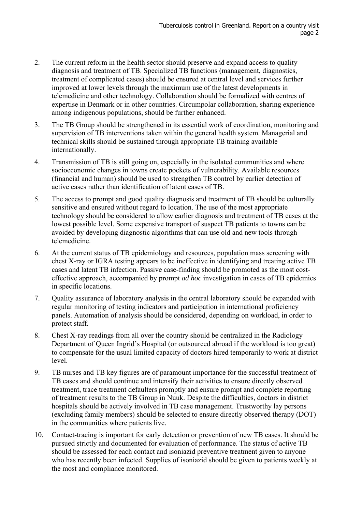- 2. The current reform in the health sector should preserve and expand access to quality diagnosis and treatment of TB. Specialized TB functions (management, diagnostics, treatment of complicated cases) should be ensured at central level and services further improved at lower levels through the maximum use of the latest developments in telemedicine and other technology. Collaboration should be formalized with centres of expertise in Denmark or in other countries. Circumpolar collaboration, sharing experience among indigenous populations, should be further enhanced.
- 3. The TB Group should be strengthened in its essential work of coordination, monitoring and supervision of TB interventions taken within the general health system. Managerial and technical skills should be sustained through appropriate TB training available internationally.
- 4. Transmission of TB is still going on, especially in the isolated communities and where socioeconomic changes in towns create pockets of vulnerability. Available resources (financial and human) should be used to strengthen TB control by earlier detection of active cases rather than identification of latent cases of TB.
- 5. The access to prompt and good quality diagnosis and treatment of TB should be culturally sensitive and ensured without regard to location. The use of the most appropriate technology should be considered to allow earlier diagnosis and treatment of TB cases at the lowest possible level. Some expensive transport of suspect TB patients to towns can be avoided by developing diagnostic algorithms that can use old and new tools through telemedicine.
- 6. At the current status of TB epidemiology and resources, population mass screening with chest X-ray or IGRA testing appears to be ineffective in identifying and treating active TB cases and latent TB infection. Passive case-finding should be promoted as the most costeffective approach, accompanied by prompt *ad hoc* investigation in cases of TB epidemics in specific locations.
- 7. Quality assurance of laboratory analysis in the central laboratory should be expanded with regular monitoring of testing indicators and participation in international proficiency panels. Automation of analysis should be considered, depending on workload, in order to protect staff.
- 8. Chest X-ray readings from all over the country should be centralized in the Radiology Department of Queen Ingrid's Hospital (or outsourced abroad if the workload is too great) to compensate for the usual limited capacity of doctors hired temporarily to work at district level.
- 9. TB nurses and TB key figures are of paramount importance for the successful treatment of TB cases and should continue and intensify their activities to ensure directly observed treatment, trace treatment defaulters promptly and ensure prompt and complete reporting of treatment results to the TB Group in Nuuk. Despite the difficulties, doctors in district hospitals should be actively involved in TB case management. Trustworthy lay persons (excluding family members) should be selected to ensure directly observed therapy (DOT) in the communities where patients live.
- 10. Contact-tracing is important for early detection or prevention of new TB cases. It should be pursued strictly and documented for evaluation of performance. The status of active TB should be assessed for each contact and isoniazid preventive treatment given to anyone who has recently been infected. Supplies of isoniazid should be given to patients weekly at the most and compliance monitored.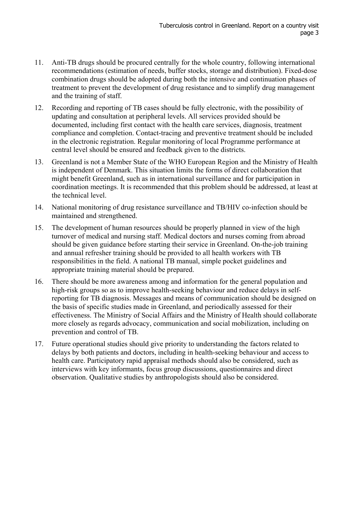- 11. Anti-TB drugs should be procured centrally for the whole country, following international recommendations (estimation of needs, buffer stocks, storage and distribution). Fixed-dose combination drugs should be adopted during both the intensive and continuation phases of treatment to prevent the development of drug resistance and to simplify drug management and the training of staff.
- 12. Recording and reporting of TB cases should be fully electronic, with the possibility of updating and consultation at peripheral levels. All services provided should be documented, including first contact with the health care services, diagnosis, treatment compliance and completion. Contact-tracing and preventive treatment should be included in the electronic registration. Regular monitoring of local Programme performance at central level should be ensured and feedback given to the districts.
- 13. Greenland is not a Member State of the WHO European Region and the Ministry of Health is independent of Denmark. This situation limits the forms of direct collaboration that might benefit Greenland, such as in international surveillance and for participation in coordination meetings. It is recommended that this problem should be addressed, at least at the technical level.
- 14. National monitoring of drug resistance surveillance and TB/HIV co-infection should be maintained and strengthened.
- 15. The development of human resources should be properly planned in view of the high turnover of medical and nursing staff. Medical doctors and nurses coming from abroad should be given guidance before starting their service in Greenland. On-the-job training and annual refresher training should be provided to all health workers with TB responsibilities in the field. A national TB manual, simple pocket guidelines and appropriate training material should be prepared.
- 16. There should be more awareness among and information for the general population and high-risk groups so as to improve health-seeking behaviour and reduce delays in selfreporting for TB diagnosis. Messages and means of communication should be designed on the basis of specific studies made in Greenland, and periodically assessed for their effectiveness. The Ministry of Social Affairs and the Ministry of Health should collaborate more closely as regards advocacy, communication and social mobilization, including on prevention and control of TB.
- 17. Future operational studies should give priority to understanding the factors related to delays by both patients and doctors, including in health-seeking behaviour and access to health care. Participatory rapid appraisal methods should also be considered, such as interviews with key informants, focus group discussions, questionnaires and direct observation. Qualitative studies by anthropologists should also be considered.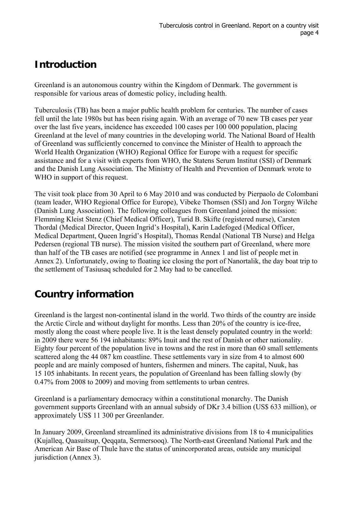## **Introduction**

Greenland is an autonomous country within the Kingdom of Denmark. The government is responsible for various areas of domestic policy, including health.

Tuberculosis (TB) has been a major public health problem for centuries. The number of cases fell until the late 1980s but has been rising again. With an average of 70 new TB cases per year over the last five years, incidence has exceeded 100 cases per 100 000 population, placing Greenland at the level of many countries in the developing world. The National Board of Health of Greenland was sufficiently concerned to convince the Minister of Health to approach the World Health Organization (WHO) Regional Office for Europe with a request for specific assistance and for a visit with experts from WHO, the Statens Serum Institut (SSI) of Denmark and the Danish Lung Association. The Ministry of Health and Prevention of Denmark wrote to WHO in support of this request.

The visit took place from 30 April to 6 May 2010 and was conducted by Pierpaolo de Colombani (team leader, WHO Regional Office for Europe), Vibeke Thomsen (SSI) and Jon Torgny Wilche (Danish Lung Association). The following colleagues from Greenland joined the mission: Flemming Kleist Stenz (Chief Medical Officer), Turid B. Skifte (registered nurse), Carsten Thordal (Medical Director, Queen Ingrid's Hospital), Karin Ladefoged (Medical Officer, Medical Department, Queen Ingrid's Hospital), Thomas Rendal (National TB Nurse) and Helga Pedersen (regional TB nurse). The mission visited the southern part of Greenland, where more than half of the TB cases are notified (see programme in Annex 1 and list of people met in Annex 2). Unfortunately, owing to floating ice closing the port of Nanortalik, the day boat trip to the settlement of Tasiusaq scheduled for 2 May had to be cancelled.

## **Country information**

Greenland is the largest non-continental island in the world. Two thirds of the country are inside the Arctic Circle and without daylight for months. Less than 20% of the country is ice-free, mostly along the coast where people live. It is the least densely populated country in the world: in 2009 there were 56 194 inhabitants: 89% Inuit and the rest of Danish or other nationality. Eighty four percent of the population live in towns and the rest in more than 60 small settlements scattered along the 44 087 km coastline. These settlements vary in size from 4 to almost 600 people and are mainly composed of hunters, fishermen and miners. The capital, Nuuk, has 15 105 inhabitants. In recent years, the population of Greenland has been falling slowly (by 0.47% from 2008 to 2009) and moving from settlements to urban centres.

Greenland is a parliamentary democracy within a constitutional monarchy. The Danish government supports Greenland with an annual subsidy of DKr 3.4 billion (US\$ 633 million), or approximately US\$ 11 300 per Greenlander.

In January 2009, Greenland streamlined its administrative divisions from 18 to 4 municipalities (Kujalleq, Qaasuitsup, Qeqqata, Sermersooq). The North-east Greenland National Park and the American Air Base of Thule have the status of unincorporated areas, outside any municipal jurisdiction (Annex 3).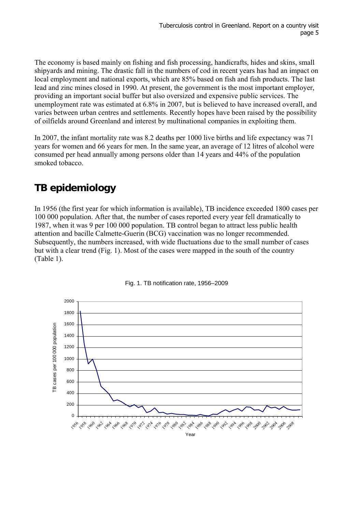The economy is based mainly on fishing and fish processing, handicrafts, hides and skins, small shipyards and mining. The drastic fall in the numbers of cod in recent years has had an impact on local employment and national exports, which are 85% based on fish and fish products. The last lead and zinc mines closed in 1990. At present, the government is the most important employer, providing an important social buffer but also oversized and expensive public services. The unemployment rate was estimated at 6.8% in 2007, but is believed to have increased overall, and varies between urban centres and settlements. Recently hopes have been raised by the possibility of oilfields around Greenland and interest by multinational companies in exploiting them.

In 2007, the infant mortality rate was 8.2 deaths per 1000 live births and life expectancy was 71 years for women and 66 years for men. In the same year, an average of 12 litres of alcohol were consumed per head annually among persons older than 14 years and 44% of the population smoked tobacco.

## **TB epidemiology**

In 1956 (the first year for which information is available), TB incidence exceeded 1800 cases per 100 000 population. After that, the number of cases reported every year fell dramatically to 1987, when it was 9 per 100 000 population. TB control began to attract less public health attention and bacille Calmette-Guerin (BCG) vaccination was no longer recommended. Subsequently, the numbers increased, with wide fluctuations due to the small number of cases but with a clear trend (Fig. 1). Most of the cases were mapped in the south of the country (Table 1).



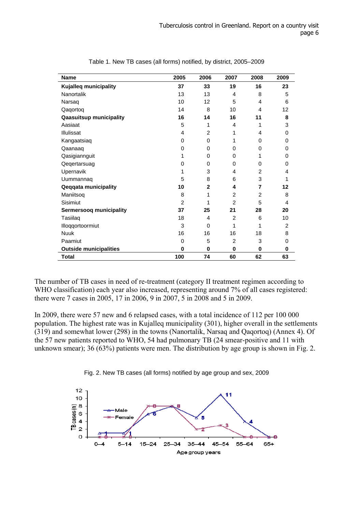| <b>Name</b>                    | 2005           | 2006           | 2007     | 2008           | 2009           |
|--------------------------------|----------------|----------------|----------|----------------|----------------|
| Kujalleq municipality          | 37             | 33             | 19       | 16             | 23             |
| Nanortalik                     | 13             | 13             | 4        | 8              | 5              |
| Narsaq                         | 10             | 12             | 5        | 4              | 6              |
| Qaqortoq                       | 14             | 8              | 10       | 4              | 12             |
| <b>Qaasuitsup municipality</b> | 16             | 14             | 16       | 11             | 8              |
| Aasiaat                        | 5              | 1              | 4        | 1              | 3              |
| Illulissat                     | 4              | 2              | 1        | 4              | 0              |
| Kangaatsiaq                    | 0              | $\Omega$       | 1        | 0              | 0              |
| Qaanaaq                        | 0              | 0              | 0        | 0              | 0              |
| Qasigiannguit                  | 1              | $\Omega$       | $\Omega$ | 1              | 0              |
| Qeqertarsuag                   | 0              | 0              | 0        | 0              | 0              |
| Upernavik                      | 1              | 3              | 4        | 2              | 4              |
| Uummannaq                      | 5              | 8              | 6        | 3              | 1              |
| <b>Qeqqata municipality</b>    | 10             | $\overline{2}$ | 4        | 7              | 12             |
| Maniitsoq                      | 8              | 1              | 2        | $\overline{2}$ | 8              |
| Sisimiut                       | $\overline{2}$ | 1              | 2        | 5              | 4              |
| Sermersooq municipality        | 37             | 25             | 21       | 28             | 20             |
| Tasiilaq                       | 18             | 4              | 2        | 6              | 10             |
| Illoqqortoormiut               | 3              | $\Omega$       | 1        | 1              | $\overline{2}$ |
| <b>Nuuk</b>                    | 16             | 16             | 16       | 18             | 8              |
| Paamiut                        | $\Omega$       | 5              | 2        | 3              | 0              |
| <b>Outside municipalities</b>  | $\bf{0}$       | 0              | $\bf{0}$ | $\bf{0}$       | 0              |
| Total                          | 100            | 74             | 60       | 62             | 63             |

Table 1. New TB cases (all forms) notified, by district, 2005–2009

The number of TB cases in need of re-treatment (category II treatment regimen according to WHO classification) each year also increased, representing around 7% of all cases registered: there were 7 cases in 2005, 17 in 2006, 9 in 2007, 5 in 2008 and 5 in 2009.

In 2009, there were 57 new and 6 relapsed cases, with a total incidence of 112 per 100 000 population. The highest rate was in Kujalleq municipality (301), higher overall in the settlements (319) and somewhat lower (298) in the towns (Nanortalik, Narsaq and Qaqortoq) (Annex 4). Of the 57 new patients reported to WHO, 54 had pulmonary TB (24 smear-positive and 11 with unknown smear); 36 (63%) patients were men. The distribution by age group is shown in Fig. 2.



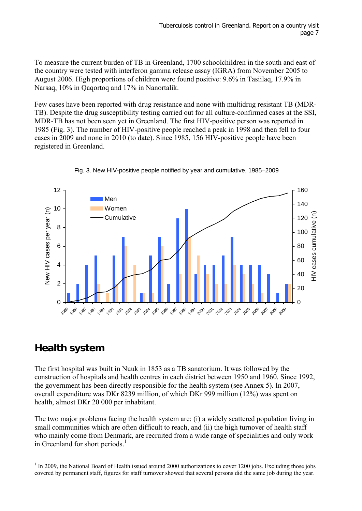To measure the current burden of TB in Greenland, 1700 schoolchildren in the south and east of the country were tested with interferon gamma release assay (IGRA) from November 2005 to August 2006. High proportions of children were found positive: 9.6% in Tasiilaq, 17.9% in Narsaq, 10% in Qaqortoq and 17% in Nanortalik.

Few cases have been reported with drug resistance and none with multidrug resistant TB (MDR-TB). Despite the drug susceptibility testing carried out for all culture-confirmed cases at the SSI, MDR-TB has not been seen yet in Greenland. The first HIV-positive person was reported in 1985 (Fig. 3). The number of HIV-positive people reached a peak in 1998 and then fell to four cases in 2009 and none in 2010 (to date). Since 1985, 156 HIV-positive people have been registered in Greenland.





### **Health system**

The first hospital was built in Nuuk in 1853 as a TB sanatorium. It was followed by the construction of hospitals and health centres in each district between 1950 and 1960. Since 1992, the government has been directly responsible for the health system (see Annex 5). In 2007, overall expenditure was DKr 8239 million, of which DKr 999 million (12%) was spent on health, almost DKr 20 000 per inhabitant.

The two major problems facing the health system are: (i) a widely scattered population living in small communities which are often difficult to reach, and (ii) the high turnover of health staff who mainly come from Denmark, are recruited from a wide range of specialities and only work in Greenland for short periods.<sup>1</sup>

 $\overline{a}$ <sup>1</sup> In 2009, the National Board of Health issued around 2000 authorizations to cover 1200 jobs. Excluding those jobs covered by permanent staff, figures for staff turnover showed that several persons did the same job during the year.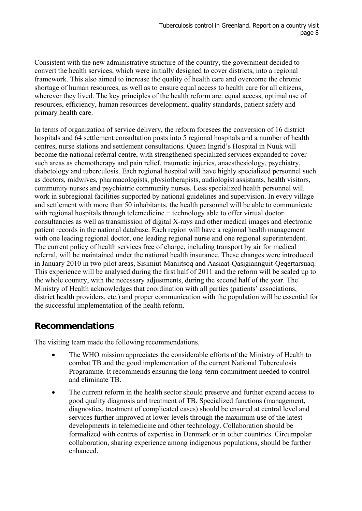Consistent with the new administrative structure of the country, the government decided to convert the health services, which were initially designed to cover districts, into a regional framework. This also aimed to increase the quality of health care and overcome the chronic shortage of human resources, as well as to ensure equal access to health care for all citizens, wherever they lived. The key principles of the health reform are: equal access, optimal use of resources, efficiency, human resources development, quality standards, patient safety and primary health care.

In terms of organization of service delivery, the reform foresees the conversion of 16 district hospitals and 64 settlement consultation posts into 5 regional hospitals and a number of health centres, nurse stations and settlement consultations. Queen Ingrid's Hospital in Nuuk will become the national referral centre, with strengthened specialized services expanded to cover such areas as chemotherapy and pain relief, traumatic injuries, anaesthesiology, psychiatry, diabetology and tuberculosis. Each regional hospital will have highly specialized personnel such as doctors, midwives, pharmacologists, physiotherapists, audiologist assistants, health visitors, community nurses and psychiatric community nurses. Less specialized health personnel will work in subregional facilities supported by national guidelines and supervision. In every village and settlement with more than 50 inhabitants, the health personnel will be able to communicate with regional hospitals through telemedicine − technology able to offer virtual doctor consultancies as well as transmission of digital X-rays and other medical images and electronic patient records in the national database. Each region will have a regional health management with one leading regional doctor, one leading regional nurse and one regional superintendent. The current policy of health services free of charge, including transport by air for medical referral, will be maintained under the national health insurance. These changes were introduced in January 2010 in two pilot areas, Sisimiut-Maniitsoq and Aasiaat-Qasigiannguit-Qeqertarsuaq. This experience will be analysed during the first half of 2011 and the reform will be scaled up to the whole country, with the necessary adjustments, during the second half of the year. The Ministry of Health acknowledges that coordination with all parties (patients' associations, district health providers, etc.) and proper communication with the population will be essential for the successful implementation of the health reform.

#### **Recommendations**

The visiting team made the following recommendations.

- The WHO mission appreciates the considerable efforts of the Ministry of Health to combat TB and the good implementation of the current National Tuberculosis Programme. It recommends ensuring the long-term commitment needed to control and eliminate TB.
- The current reform in the health sector should preserve and further expand access to good quality diagnosis and treatment of TB. Specialized functions (management, diagnostics, treatment of complicated cases) should be ensured at central level and services further improved at lower levels through the maximum use of the latest developments in telemedicine and other technology. Collaboration should be formalized with centres of expertise in Denmark or in other countries. Circumpolar collaboration, sharing experience among indigenous populations, should be further enhanced.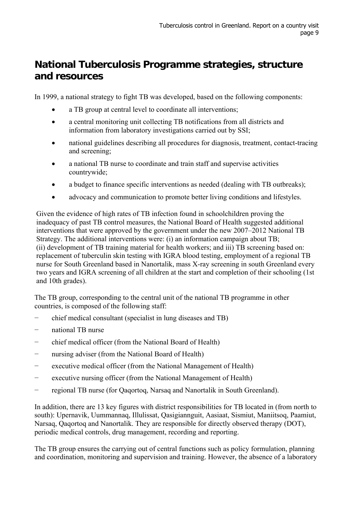## **National Tuberculosis Programme strategies, structure and resources**

In 1999, a national strategy to fight TB was developed, based on the following components:

- a TB group at central level to coordinate all interventions;
- a central monitoring unit collecting TB notifications from all districts and information from laboratory investigations carried out by SSI;
- national guidelines describing all procedures for diagnosis, treatment, contact-tracing and screening;
- a national TB nurse to coordinate and train staff and supervise activities countrywide;
- a budget to finance specific interventions as needed (dealing with TB outbreaks);
- advocacy and communication to promote better living conditions and lifestyles.

Given the evidence of high rates of TB infection found in schoolchildren proving the inadequacy of past TB control measures, the National Board of Health suggested additional interventions that were approved by the government under the new 2007–2012 National TB Strategy. The additional interventions were: (i) an information campaign about TB; (ii) development of TB training material for health workers; and iii) TB screening based on: replacement of tuberculin skin testing with IGRA blood testing, employment of a regional TB nurse for South Greenland based in Nanortalik, mass X-ray screening in south Greenland every two years and IGRA screening of all children at the start and completion of their schooling (1st and 10th grades).

The TB group, corresponding to the central unit of the national TB programme in other countries, is composed of the following staff:

- − chief medical consultant (specialist in lung diseases and TB)
- − national TB nurse
- − chief medical officer (from the National Board of Health)
- − nursing adviser (from the National Board of Health)
- − executive medical officer (from the National Management of Health)
- − executive nursing officer (from the National Management of Health)
- − regional TB nurse (for Qaqortoq, Narsaq and Nanortalik in South Greenland).

In addition, there are 13 key figures with district responsibilities for TB located in (from north to south): Upernavik, Uummannaq, Illulissat, Qasigiannguit, Aasiaat, Sismiut, Maniitsoq, Paamiut, Narsaq, Qaqortoq and Nanortalik. They are responsible for directly observed therapy (DOT), periodic medical controls, drug management, recording and reporting.

The TB group ensures the carrying out of central functions such as policy formulation, planning and coordination, monitoring and supervision and training. However, the absence of a laboratory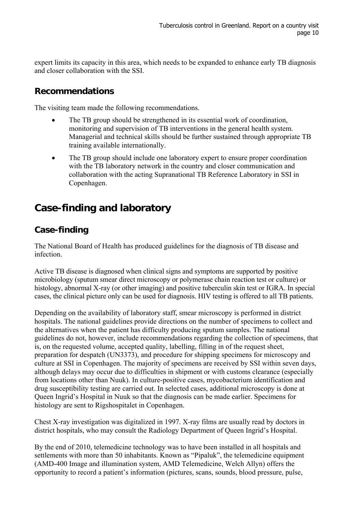expert limits its capacity in this area, which needs to be expanded to enhance early TB diagnosis and closer collaboration with the SSI.

#### **Recommendations**

The visiting team made the following recommendations.

- The TB group should be strengthened in its essential work of coordination, monitoring and supervision of TB interventions in the general health system. Managerial and technical skills should be further sustained through appropriate TB training available internationally.
- The TB group should include one laboratory expert to ensure proper coordination with the TB laboratory network in the country and closer communication and collaboration with the acting Supranational TB Reference Laboratory in SSI in Copenhagen.

### **Case-finding and laboratory**

#### **Case-finding**

The National Board of Health has produced guidelines for the diagnosis of TB disease and infection.

Active TB disease is diagnosed when clinical signs and symptoms are supported by positive microbiology (sputum smear direct microscopy or polymerase chain reaction test or culture) or histology, abnormal X-ray (or other imaging) and positive tuberculin skin test or IGRA. In special cases, the clinical picture only can be used for diagnosis. HIV testing is offered to all TB patients.

Depending on the availability of laboratory staff, smear microscopy is performed in district hospitals. The national guidelines provide directions on the number of specimens to collect and the alternatives when the patient has difficulty producing sputum samples. The national guidelines do not, however, include recommendations regarding the collection of specimens, that is, on the requested volume, accepted quality, labelling, filling in of the request sheet, preparation for despatch (UN3373), and procedure for shipping specimens for microscopy and culture at SSI in Copenhagen. The majority of specimens are received by SSI within seven days, although delays may occur due to difficulties in shipment or with customs clearance (especially from locations other than Nuuk). In culture-positive cases, mycobacterium identification and drug susceptibility testing are carried out. In selected cases, additional microscopy is done at Queen Ingrid's Hospital in Nuuk so that the diagnosis can be made earlier. Specimens for histology are sent to Rigshospitalet in Copenhagen.

Chest X-ray investigation was digitalized in 1997. X-ray films are usually read by doctors in district hospitals, who may consult the Radiology Department of Queen Ingrid's Hospital.

By the end of 2010, telemedicine technology was to have been installed in all hospitals and settlements with more than 50 inhabitants. Known as "Pipaluk", the telemedicine equipment (AMD-400 Image and illumination system, AMD Telemedicine, Welch Allyn) offers the opportunity to record a patient's information (pictures, scans, sounds, blood pressure, pulse,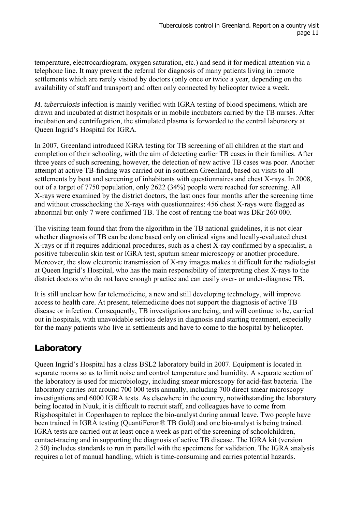temperature, electrocardiogram, oxygen saturation, etc.) and send it for medical attention via a telephone line. It may prevent the referral for diagnosis of many patients living in remote settlements which are rarely visited by doctors (only once or twice a year, depending on the availability of staff and transport) and often only connected by helicopter twice a week.

*M. tuberculosis* infection is mainly verified with IGRA testing of blood specimens, which are drawn and incubated at district hospitals or in mobile incubators carried by the TB nurses. After incubation and centrifugation, the stimulated plasma is forwarded to the central laboratory at Queen Ingrid's Hospital for IGRA.

In 2007, Greenland introduced IGRA testing for TB screening of all children at the start and completion of their schooling, with the aim of detecting earlier TB cases in their families. After three years of such screening, however, the detection of new active TB cases was poor. Another attempt at active TB-finding was carried out in southern Greenland, based on visits to all settlements by boat and screening of inhabitants with questionnaires and chest X-rays. In 2008, out of a target of 7750 population, only 2622 (34%) people were reached for screening. All X-rays were examined by the district doctors, the last ones four months after the screening time and without crosschecking the X-rays with questionnaires: 456 chest X-rays were flagged as abnormal but only 7 were confirmed TB. The cost of renting the boat was DKr 260 000.

The visiting team found that from the algorithm in the TB national guidelines, it is not clear whether diagnosis of TB can be done based only on clinical signs and locally-evaluated chest X-rays or if it requires additional procedures, such as a chest X-ray confirmed by a specialist, a positive tuberculin skin test or IGRA test, sputum smear microscopy or another procedure. Moreover, the slow electronic transmission of X-ray images makes it difficult for the radiologist at Queen Ingrid's Hospital, who has the main responsibility of interpreting chest X-rays to the district doctors who do not have enough practice and can easily over- or under-diagnose TB.

It is still unclear how far telemedicine, a new and still developing technology, will improve access to health care. At present, telemedicine does not support the diagnosis of active TB disease or infection. Consequently, TB investigations are being, and will continue to be, carried out in hospitals, with unavoidable serious delays in diagnosis and starting treatment, especially for the many patients who live in settlements and have to come to the hospital by helicopter.

### **Laboratory**

Queen Ingrid's Hospital has a class BSL2 laboratory build in 2007. Equipment is located in separate rooms so as to limit noise and control temperature and humidity. A separate section of the laboratory is used for microbiology, including smear microscopy for acid-fast bacteria. The laboratory carries out around 700 000 tests annually, including 700 direct smear microscopy investigations and 6000 IGRA tests. As elsewhere in the country, notwithstanding the laboratory being located in Nuuk, it is difficult to recruit staff, and colleagues have to come from Rigshospitalet in Copenhagen to replace the bio-analyst during annual leave. Two people have been trained in IGRA testing (QuantiFeron® TB Gold) and one bio-analyst is being trained. IGRA tests are carried out at least once a week as part of the screening of schoolchildren, contact-tracing and in supporting the diagnosis of active TB disease. The IGRA kit (version 2.50) includes standards to run in parallel with the specimens for validation. The IGRA analysis requires a lot of manual handling, which is time-consuming and carries potential hazards.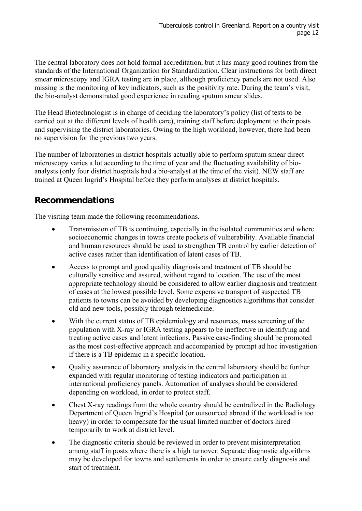The central laboratory does not hold formal accreditation, but it has many good routines from the standards of the International Organization for Standardization. Clear instructions for both direct smear microscopy and IGRA testing are in place, although proficiency panels are not used. Also missing is the monitoring of key indicators, such as the positivity rate. During the team's visit, the bio-analyst demonstrated good experience in reading sputum smear slides.

The Head Biotechnologist is in charge of deciding the laboratory's policy (list of tests to be carried out at the different levels of health care), training staff before deployment to their posts and supervising the district laboratories. Owing to the high workload, however, there had been no supervision for the previous two years.

The number of laboratories in district hospitals actually able to perform sputum smear direct microscopy varies a lot according to the time of year and the fluctuating availability of bioanalysts (only four district hospitals had a bio-analyst at the time of the visit). NEW staff are trained at Queen Ingrid's Hospital before they perform analyses at district hospitals.

#### **Recommendations**

The visiting team made the following recommendations.

- Transmission of TB is continuing, especially in the isolated communities and where socioeconomic changes in towns create pockets of vulnerability. Available financial and human resources should be used to strengthen TB control by earlier detection of active cases rather than identification of latent cases of TB.
- Access to prompt and good quality diagnosis and treatment of TB should be culturally sensitive and assured, without regard to location. The use of the most appropriate technology should be considered to allow earlier diagnosis and treatment of cases at the lowest possible level. Some expensive transport of suspected TB patients to towns can be avoided by developing diagnostics algorithms that consider old and new tools, possibly through telemedicine.
- With the current status of TB epidemiology and resources, mass screening of the population with X-ray or IGRA testing appears to be ineffective in identifying and treating active cases and latent infections. Passive case-finding should be promoted as the most cost-effective approach and accompanied by prompt ad hoc investigation if there is a TB epidemic in a specific location.
- Quality assurance of laboratory analysis in the central laboratory should be further expanded with regular monitoring of testing indicators and participation in international proficiency panels. Automation of analyses should be considered depending on workload, in order to protect staff.
- Chest X-ray readings from the whole country should be centralized in the Radiology Department of Queen Ingrid's Hospital (or outsourced abroad if the workload is too heavy) in order to compensate for the usual limited number of doctors hired temporarily to work at district level.
- The diagnostic criteria should be reviewed in order to prevent misinterpretation among staff in posts where there is a high turnover. Separate diagnostic algorithms may be developed for towns and settlements in order to ensure early diagnosis and start of treatment.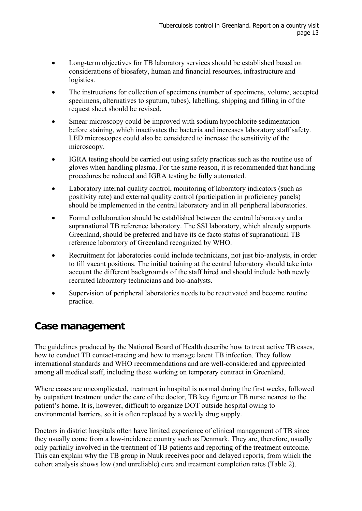- Long-term objectives for TB laboratory services should be established based on considerations of biosafety, human and financial resources, infrastructure and logistics.
- The instructions for collection of specimens (number of specimens, volume, accepted specimens, alternatives to sputum, tubes), labelling, shipping and filling in of the request sheet should be revised.
- Smear microscopy could be improved with sodium hypochlorite sedimentation before staining, which inactivates the bacteria and increases laboratory staff safety. LED microscopes could also be considered to increase the sensitivity of the microscopy.
- IGRA testing should be carried out using safety practices such as the routine use of gloves when handling plasma. For the same reason, it is recommended that handling procedures be reduced and IGRA testing be fully automated.
- Laboratory internal quality control, monitoring of laboratory indicators (such as positivity rate) and external quality control (participation in proficiency panels) should be implemented in the central laboratory and in all peripheral laboratories.
- Formal collaboration should be established between the central laboratory and a supranational TB reference laboratory. The SSI laboratory, which already supports Greenland, should be preferred and have its de facto status of supranational TB reference laboratory of Greenland recognized by WHO.
- Recruitment for laboratories could include technicians, not just bio-analysts, in order to fill vacant positions. The initial training at the central laboratory should take into account the different backgrounds of the staff hired and should include both newly recruited laboratory technicians and bio-analysts.
- Supervision of peripheral laboratories needs to be reactivated and become routine practice.

### **Case management**

The guidelines produced by the National Board of Health describe how to treat active TB cases, how to conduct TB contact-tracing and how to manage latent TB infection. They follow international standards and WHO recommendations and are well-considered and appreciated among all medical staff, including those working on temporary contract in Greenland.

Where cases are uncomplicated, treatment in hospital is normal during the first weeks, followed by outpatient treatment under the care of the doctor, TB key figure or TB nurse nearest to the patient's home. It is, however, difficult to organize DOT outside hospital owing to environmental barriers, so it is often replaced by a weekly drug supply.

Doctors in district hospitals often have limited experience of clinical management of TB since they usually come from a low-incidence country such as Denmark. They are, therefore, usually only partially involved in the treatment of TB patients and reporting of the treatment outcome. This can explain why the TB group in Nuuk receives poor and delayed reports, from which the cohort analysis shows low (and unreliable) cure and treatment completion rates (Table 2).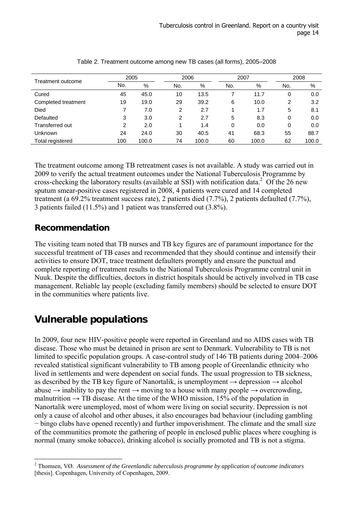|                     | 2005 |       |                | 2006  |     | 2007  |     | 2008  |  |
|---------------------|------|-------|----------------|-------|-----|-------|-----|-------|--|
| Treatment outcome   | No.  | %     | No.            | %     | No. | %     | No. | %     |  |
| Cured               | 45   | 45.0  | 10             | 13.5  |     | 11.7  | 0   | 0.0   |  |
| Completed treatment | 19   | 19.0  | 29             | 39.2  | 6   | 10.0  | 2   | 3.2   |  |
| Died                |      | 7.0   | 2              | 2.7   |     | 1.7   | 5   | 8.1   |  |
| Defaulted           | 3    | 3.0   | $\overline{2}$ | 2.7   | 5   | 8.3   | 0   | 0.0   |  |
| Transferred out     | 2    | 2.0   |                | 1.4   | 0   | 0.0   | 0   | 0.0   |  |
| Unknown             | 24   | 24.0  | 30             | 40.5  | 41  | 68.3  | 55  | 88.7  |  |
| Total registered    | 100  | 100.0 | 74             | 100.0 | 60  | 100.0 | 62  | 100.0 |  |

| Table 2. Treatment outcome among new TB cases (all forms), 2005-2008 |  |
|----------------------------------------------------------------------|--|
|----------------------------------------------------------------------|--|

The treatment outcome among TB retreatment cases is not available. A study was carried out in 2009 to verify the actual treatment outcomes under the National Tuberculosis Programme by cross-checking the laboratory results (available at SSI) with notification data.<sup>2</sup> Of the 26 new sputum smear-positive cases registered in 2008, 4 patients were cured and 14 completed treatment (a 69.2% treatment success rate), 2 patients died (7.7%), 2 patients defaulted (7.7%), 3 patients failed (11.5%) and 1 patient was transferred out (3.8%).

#### **Recommendation**

 $\overline{a}$ 

The visiting team noted that TB nurses and TB key figures are of paramount importance for the successful treatment of TB cases and recommended that they should continue and intensify their activities to ensure DOT, trace treatment defaulters promptly and ensure the punctual and complete reporting of treatment results to the National Tuberculosis Programme central unit in Nuuk. Despite the difficulties, doctors in district hospitals should be actively involved in TB case management. Reliable lay people (excluding family members) should be selected to ensure DOT in the communities where patients live.

## **Vulnerable populations**

In 2009, four new HIV-positive people were reported in Greenland and no AIDS cases with TB disease. Those who must be detained in prison are sent to Denmark. Vulnerability to TB is not limited to specific population groups. A case-control study of 146 TB patients during 2004–2006 revealed statistical significant vulnerability to TB among people of Greenlandic ethnicity who lived in settlements and were dependent on social funds. The usual progression to TB sickness, as described by the TB key figure of Nanortalik, is unemployment  $\rightarrow$  depression  $\rightarrow$  alcohol abuse  $\rightarrow$  inability to pay the rent  $\rightarrow$  moving to a house with many people  $\rightarrow$  overcrowding, malnutrition  $\rightarrow$  TB disease. At the time of the WHO mission, 15% of the population in Nanortalik were unemployed, most of whom were living on social security. Depression is not only a cause of alcohol and other abuses, it also encourages bad behaviour (including gambling − bingo clubs have opened recently) and further impoverishment. The climate and the small size of the communities promote the gathering of people in enclosed public places where coughing is normal (many smoke tobacco), drinking alcohol is socially promoted and TB is not a stigma.

<sup>2</sup> Thomsen, VØ. *Assessment of the Greenlandic tuberculosis programme by application of outcome indicators* [thesis]. Copenhagen, University of Copenhagen, 2009.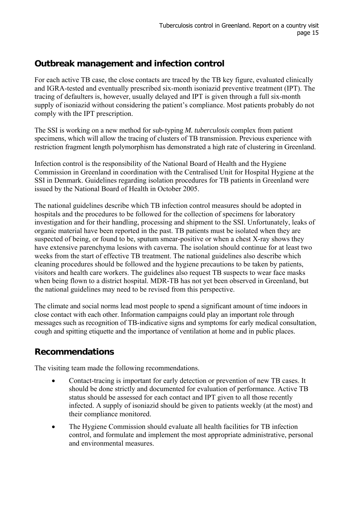### **Outbreak management and infection control**

For each active TB case, the close contacts are traced by the TB key figure, evaluated clinically and IGRA-tested and eventually prescribed six-month isoniazid preventive treatment (IPT). The tracing of defaulters is, however, usually delayed and IPT is given through a full six-month supply of isoniazid without considering the patient's compliance. Most patients probably do not comply with the IPT prescription.

The SSI is working on a new method for sub-typing *M. tuberculosis* complex from patient specimens, which will allow the tracing of clusters of TB transmission. Previous experience with restriction fragment length polymorphism has demonstrated a high rate of clustering in Greenland.

Infection control is the responsibility of the National Board of Health and the Hygiene Commission in Greenland in coordination with the Centralised Unit for Hospital Hygiene at the SSI in Denmark. Guidelines regarding isolation procedures for TB patients in Greenland were issued by the National Board of Health in October 2005.

The national guidelines describe which TB infection control measures should be adopted in hospitals and the procedures to be followed for the collection of specimens for laboratory investigation and for their handling, processing and shipment to the SSI. Unfortunately, leaks of organic material have been reported in the past. TB patients must be isolated when they are suspected of being, or found to be, sputum smear-positive or when a chest X-ray shows they have extensive parenchyma lesions with caverna. The isolation should continue for at least two weeks from the start of effective TB treatment. The national guidelines also describe which cleaning procedures should be followed and the hygiene precautions to be taken by patients, visitors and health care workers. The guidelines also request TB suspects to wear face masks when being flown to a district hospital. MDR-TB has not yet been observed in Greenland, but the national guidelines may need to be revised from this perspective.

The climate and social norms lead most people to spend a significant amount of time indoors in close contact with each other. Information campaigns could play an important role through messages such as recognition of TB-indicative signs and symptoms for early medical consultation, cough and spitting etiquette and the importance of ventilation at home and in public places.

#### **Recommendations**

The visiting team made the following recommendations.

- Contact-tracing is important for early detection or prevention of new TB cases. It should be done strictly and documented for evaluation of performance. Active TB status should be assessed for each contact and IPT given to all those recently infected. A supply of isoniazid should be given to patients weekly (at the most) and their compliance monitored.
- The Hygiene Commission should evaluate all health facilities for TB infection control, and formulate and implement the most appropriate administrative, personal and environmental measures.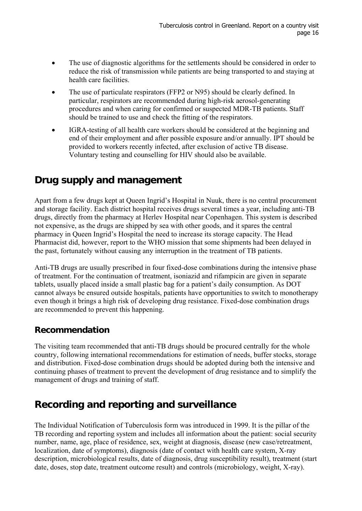- The use of diagnostic algorithms for the settlements should be considered in order to reduce the risk of transmission while patients are being transported to and staying at health care facilities.
- The use of particulate respirators (FFP2 or N95) should be clearly defined. In particular, respirators are recommended during high-risk aerosol-generating procedures and when caring for confirmed or suspected MDR-TB patients. Staff should be trained to use and check the fitting of the respirators.
- IGRA-testing of all health care workers should be considered at the beginning and end of their employment and after possible exposure and/or annually. IPT should be provided to workers recently infected, after exclusion of active TB disease. Voluntary testing and counselling for HIV should also be available.

### **Drug supply and management**

Apart from a few drugs kept at Queen Ingrid's Hospital in Nuuk, there is no central procurement and storage facility. Each district hospital receives drugs several times a year, including anti-TB drugs, directly from the pharmacy at Herlev Hospital near Copenhagen. This system is described not expensive, as the drugs are shipped by sea with other goods, and it spares the central pharmacy in Queen Ingrid's Hospital the need to increase its storage capacity. The Head Pharmacist did, however, report to the WHO mission that some shipments had been delayed in the past, fortunately without causing any interruption in the treatment of TB patients.

Anti-TB drugs are usually prescribed in four fixed-dose combinations during the intensive phase of treatment. For the continuation of treatment, isoniazid and rifampicin are given in separate tablets, usually placed inside a small plastic bag for a patient's daily consumption. As DOT cannot always be ensured outside hospitals, patients have opportunities to switch to monotherapy even though it brings a high risk of developing drug resistance. Fixed-dose combination drugs are recommended to prevent this happening.

#### **Recommendation**

The visiting team recommended that anti-TB drugs should be procured centrally for the whole country, following international recommendations for estimation of needs, buffer stocks, storage and distribution. Fixed-dose combination drugs should be adopted during both the intensive and continuing phases of treatment to prevent the development of drug resistance and to simplify the management of drugs and training of staff.

## **Recording and reporting and surveillance**

The Individual Notification of Tuberculosis form was introduced in 1999. It is the pillar of the TB recording and reporting system and includes all information about the patient: social security number, name, age, place of residence, sex, weight at diagnosis, disease (new case/retreatment, localization, date of symptoms), diagnosis (date of contact with health care system, X-ray description, microbiological results, date of diagnosis, drug susceptibility result), treatment (start date, doses, stop date, treatment outcome result) and controls (microbiology, weight, X-ray).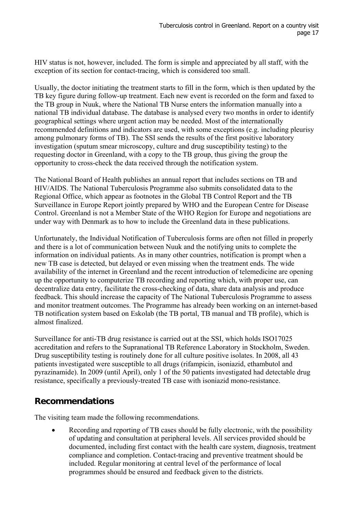HIV status is not, however, included. The form is simple and appreciated by all staff, with the exception of its section for contact-tracing, which is considered too small.

Usually, the doctor initiating the treatment starts to fill in the form, which is then updated by the TB key figure during follow-up treatment. Each new event is recorded on the form and faxed to the TB group in Nuuk, where the National TB Nurse enters the information manually into a national TB individual database. The database is analysed every two months in order to identify geographical settings where urgent action may be needed. Most of the internationally recommended definitions and indicators are used, with some exceptions (e.g. including pleurisy among pulmonary forms of TB). The SSI sends the results of the first positive laboratory investigation (sputum smear microscopy, culture and drug susceptibility testing) to the requesting doctor in Greenland, with a copy to the TB group, thus giving the group the opportunity to cross-check the data received through the notification system.

The National Board of Health publishes an annual report that includes sections on TB and HIV/AIDS. The National Tuberculosis Programme also submits consolidated data to the Regional Office, which appear as footnotes in the Global TB Control Report and the TB Surveillance in Europe Report jointly prepared by WHO and the European Centre for Disease Control. Greenland is not a Member State of the WHO Region for Europe and negotiations are under way with Denmark as to how to include the Greenland data in these publications.

Unfortunately, the Individual Notification of Tuberculosis forms are often not filled in properly and there is a lot of communication between Nuuk and the notifying units to complete the information on individual patients. As in many other countries, notification is prompt when a new TB case is detected, but delayed or even missing when the treatment ends. The wide availability of the internet in Greenland and the recent introduction of telemedicine are opening up the opportunity to computerize TB recording and reporting which, with proper use, can decentralize data entry, facilitate the cross-checking of data, share data analysis and produce feedback. This should increase the capacity of The National Tuberculosis Programme to assess and monitor treatment outcomes. The Programme has already been working on an internet-based TB notification system based on Eskolab (the TB portal, TB manual and TB profile), which is almost finalized.

Surveillance for anti-TB drug resistance is carried out at the SSI, which holds ISO17025 accreditation and refers to the Supranational TB Reference Laboratory in Stockholm, Sweden. Drug susceptibility testing is routinely done for all culture positive isolates. In 2008, all 43 patients investigated were susceptible to all drugs (rifampicin, isoniazid, ethambutol and pyrazinamide). In 2009 (until April), only 1 of the 50 patients investigated had detectable drug resistance, specifically a previously-treated TB case with isoniazid mono-resistance.

#### **Recommendations**

The visiting team made the following recommendations.

 Recording and reporting of TB cases should be fully electronic, with the possibility of updating and consultation at peripheral levels. All services provided should be documented, including first contact with the health care system, diagnosis, treatment compliance and completion. Contact-tracing and preventive treatment should be included. Regular monitoring at central level of the performance of local programmes should be ensured and feedback given to the districts.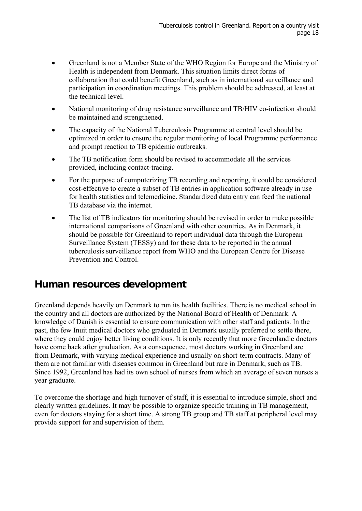- Greenland is not a Member State of the WHO Region for Europe and the Ministry of Health is independent from Denmark. This situation limits direct forms of collaboration that could benefit Greenland, such as in international surveillance and participation in coordination meetings. This problem should be addressed, at least at the technical level.
- National monitoring of drug resistance surveillance and TB/HIV co-infection should be maintained and strengthened.
- The capacity of the National Tuberculosis Programme at central level should be optimized in order to ensure the regular monitoring of local Programme performance and prompt reaction to TB epidemic outbreaks.
- The TB notification form should be revised to accommodate all the services provided, including contact-tracing.
- For the purpose of computerizing TB recording and reporting, it could be considered cost-effective to create a subset of TB entries in application software already in use for health statistics and telemedicine. Standardized data entry can feed the national TB database via the internet.
- The list of TB indicators for monitoring should be revised in order to make possible international comparisons of Greenland with other countries. As in Denmark, it should be possible for Greenland to report individual data through the European Surveillance System (TESSy) and for these data to be reported in the annual tuberculosis surveillance report from WHO and the European Centre for Disease Prevention and Control.

### **Human resources development**

Greenland depends heavily on Denmark to run its health facilities. There is no medical school in the country and all doctors are authorized by the National Board of Health of Denmark. A knowledge of Danish is essential to ensure communication with other staff and patients. In the past, the few Inuit medical doctors who graduated in Denmark usually preferred to settle there, where they could enjoy better living conditions. It is only recently that more Greenlandic doctors have come back after graduation. As a consequence, most doctors working in Greenland are from Denmark, with varying medical experience and usually on short-term contracts. Many of them are not familiar with diseases common in Greenland but rare in Denmark, such as TB. Since 1992, Greenland has had its own school of nurses from which an average of seven nurses a year graduate.

To overcome the shortage and high turnover of staff, it is essential to introduce simple, short and clearly written guidelines. It may be possible to organize specific training in TB management, even for doctors staying for a short time. A strong TB group and TB staff at peripheral level may provide support for and supervision of them.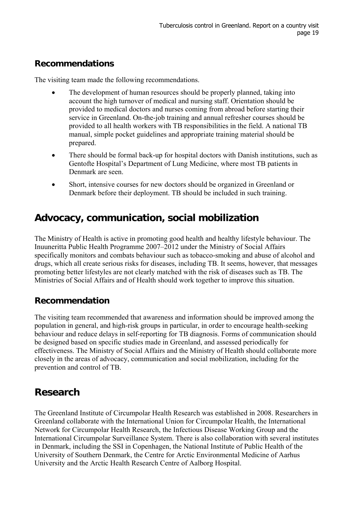#### **Recommendations**

The visiting team made the following recommendations.

- The development of human resources should be properly planned, taking into account the high turnover of medical and nursing staff. Orientation should be provided to medical doctors and nurses coming from abroad before starting their service in Greenland. On-the-job training and annual refresher courses should be provided to all health workers with TB responsibilities in the field. A national TB manual, simple pocket guidelines and appropriate training material should be prepared.
- There should be formal back-up for hospital doctors with Danish institutions, such as Gentofte Hospital's Department of Lung Medicine, where most TB patients in Denmark are seen.
- Short, intensive courses for new doctors should be organized in Greenland or Denmark before their deployment. TB should be included in such training.

### **Advocacy, communication, social mobilization**

The Ministry of Health is active in promoting good health and healthy lifestyle behaviour. The Inuuneritta Public Health Programme 2007–2012 under the Ministry of Social Affairs specifically monitors and combats behaviour such as tobacco-smoking and abuse of alcohol and drugs, which all create serious risks for diseases, including TB. It seems, however, that messages promoting better lifestyles are not clearly matched with the risk of diseases such as TB. The Ministries of Social Affairs and of Health should work together to improve this situation.

#### **Recommendation**

The visiting team recommended that awareness and information should be improved among the population in general, and high-risk groups in particular, in order to encourage health-seeking behaviour and reduce delays in self-reporting for TB diagnosis. Forms of communication should be designed based on specific studies made in Greenland, and assessed periodically for effectiveness. The Ministry of Social Affairs and the Ministry of Health should collaborate more closely in the areas of advocacy, communication and social mobilization, including for the prevention and control of TB.

### **Research**

The Greenland Institute of Circumpolar Health Research was established in 2008. Researchers in Greenland collaborate with the International Union for Circumpolar Health, the International Network for Circumpolar Health Research, the Infectious Disease Working Group and the International Circumpolar Surveillance System. There is also collaboration with several institutes in Denmark, including the SSI in Copenhagen, the National Institute of Public Health of the University of Southern Denmark, the Centre for Arctic Environmental Medicine of Aarhus University and the Arctic Health Research Centre of Aalborg Hospital.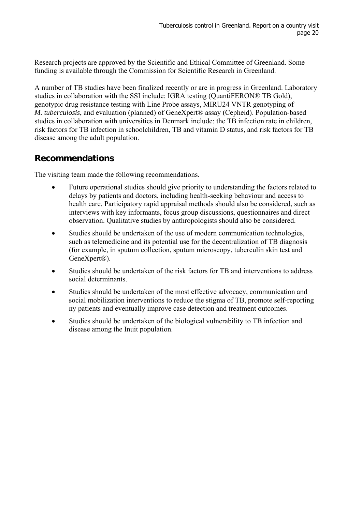Research projects are approved by the Scientific and Ethical Committee of Greenland. Some funding is available through the Commission for Scientific Research in Greenland.

A number of TB studies have been finalized recently or are in progress in Greenland. Laboratory studies in collaboration with the SSI include: IGRA testing (QuantiFERON® TB Gold), genotypic drug resistance testing with Line Probe assays, MIRU24 VNTR genotyping of *M. tuberculosis*, and evaluation (planned) of GeneXpert® assay (Cepheid). Population-based studies in collaboration with universities in Denmark include: the TB infection rate in children, risk factors for TB infection in schoolchildren, TB and vitamin D status, and risk factors for TB disease among the adult population.

#### **Recommendations**

The visiting team made the following recommendations.

- Future operational studies should give priority to understanding the factors related to delays by patients and doctors, including health-seeking behaviour and access to health care. Participatory rapid appraisal methods should also be considered, such as interviews with key informants, focus group discussions, questionnaires and direct observation. Qualitative studies by anthropologists should also be considered.
- Studies should be undertaken of the use of modern communication technologies, such as telemedicine and its potential use for the decentralization of TB diagnosis (for example, in sputum collection, sputum microscopy, tuberculin skin test and GeneXpert®).
- Studies should be undertaken of the risk factors for TB and interventions to address social determinants.
- Studies should be undertaken of the most effective advocacy, communication and social mobilization interventions to reduce the stigma of TB, promote self-reporting ny patients and eventually improve case detection and treatment outcomes.
- Studies should be undertaken of the biological vulnerability to TB infection and disease among the Inuit population.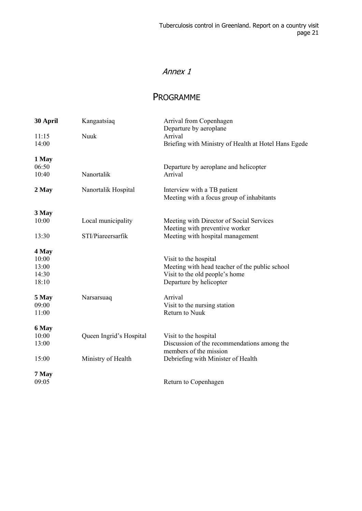### Annex 1

#### PROGRAMME

| 30 April       | Kangaatsiaq             | Arrival from Copenhagen                                         |
|----------------|-------------------------|-----------------------------------------------------------------|
|                |                         | Departure by aeroplane                                          |
| 11:15<br>14:00 | Nuuk                    | Arrival<br>Briefing with Ministry of Health at Hotel Hans Egede |
|                |                         |                                                                 |
| 1 May<br>06:50 |                         | Departure by aeroplane and helicopter                           |
| 10:40          | Nanortalik              | Arrival                                                         |
|                |                         |                                                                 |
| 2 May          | Nanortalik Hospital     | Interview with a TB patient                                     |
|                |                         | Meeting with a focus group of inhabitants                       |
| 3 May          |                         |                                                                 |
| 10:00          | Local municipality      | Meeting with Director of Social Services                        |
|                |                         | Meeting with preventive worker                                  |
| 13:30          | STI/Piareersarfik       | Meeting with hospital management                                |
| 4 May          |                         |                                                                 |
| 10:00          |                         | Visit to the hospital                                           |
| 13:00          |                         | Meeting with head teacher of the public school                  |
| 14:30          |                         | Visit to the old people's home                                  |
| 18:10          |                         | Departure by helicopter                                         |
| 5 May          | Narsarsuaq              | Arrival                                                         |
| 09:00          |                         | Visit to the nursing station                                    |
| 11:00          |                         | Return to Nuuk                                                  |
| 6 May          |                         |                                                                 |
| 10:00          | Queen Ingrid's Hospital | Visit to the hospital                                           |
| 13:00          |                         | Discussion of the recommendations among the                     |
|                |                         | members of the mission                                          |
| 15:00          | Ministry of Health      | Debriefing with Minister of Health                              |
| 7 May          |                         |                                                                 |
| 09:05          |                         | Return to Copenhagen                                            |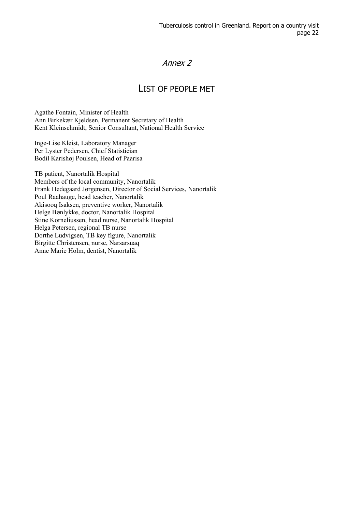#### Annex 2

#### LIST OF PEOPLE MET

Agathe Fontain, Minister of Health Ann Birkekær Kjeldsen, Permanent Secretary of Health Kent Kleinschmidt, Senior Consultant, National Health Service

Inge-Lise Kleist, Laboratory Manager Per Lyster Pedersen, Chief Statistician Bodil Karishøj Poulsen, Head of Paarisa

TB patient, Nanortalik Hospital Members of the local community, Nanortalik Frank Hedegaard Jørgensen, Director of Social Services, Nanortalik Poul Raahauge, head teacher, Nanortalik Akisooq Isaksen, preventive worker, Nanortalik Helge Bønlykke, doctor, Nanortalik Hospital Stine Korneliussen, head nurse, Nanortalik Hospital Helga Petersen, regional TB nurse Dorthe Ludvigsen, TB key figure, Nanortalik Birgitte Christensen, nurse, Narsarsuaq Anne Marie Holm, dentist, Nanortalik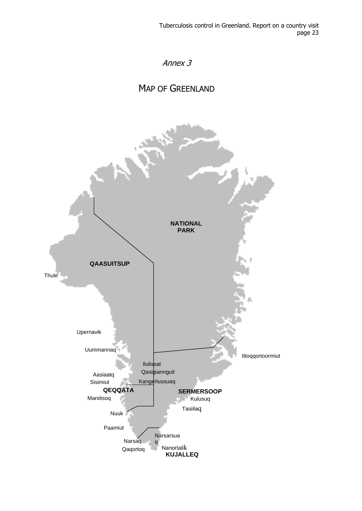

### MAP OF GREENLAND

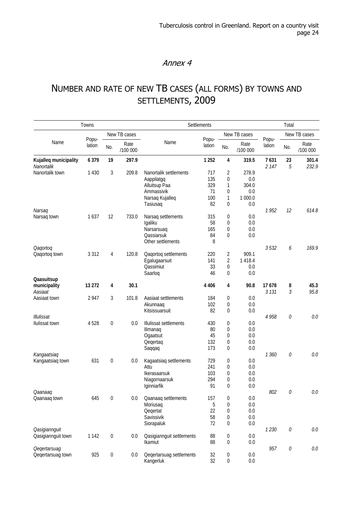#### Annex 4

## NUMBER AND RATE OF NEW TB CASES (ALL FORMS) BY TOWNS AND SETTLEMENTS, 2009

|                                            | Towns           |                  |                  | Settlements                                                                                        | Total                                |                                            |                                                |                  |              |                  |
|--------------------------------------------|-----------------|------------------|------------------|----------------------------------------------------------------------------------------------------|--------------------------------------|--------------------------------------------|------------------------------------------------|------------------|--------------|------------------|
|                                            |                 |                  | New TB cases     |                                                                                                    | Popu-                                |                                            | New TB cases                                   |                  |              | New TB cases     |
| Name                                       | Popu-<br>lation | No.              | Rate<br>/100 000 | Name                                                                                               | lation                               | No.                                        | Rate<br>/100 000                               | Popu-<br>lation  | No.          | Rate<br>/100 000 |
| Kujalleq municipality<br>Nanortalik        | 6 3 7 9         | 19               | 297.9            |                                                                                                    | 1 2 5 2                              | 4                                          | 319.5                                          | 7631<br>2 1 4 7  | 23<br>5      | 301.4<br>232.9   |
| Nanortalik town                            | 1 4 3 0         | 3                | 209.8            | Nanortalik settlements<br>Aappilatgq<br>Alluitsup Paa<br>Ammassivik<br>Narsaq Kujalleq<br>Tasiusaq | 717<br>135<br>329<br>71<br>100<br>82 | 2<br>0<br>1<br>0<br>$\mathbf{1}$<br>0      | 278.9<br>0.0<br>304.0<br>0.0<br>1 000.0<br>0.0 |                  |              |                  |
| Narsag                                     |                 |                  |                  |                                                                                                    |                                      |                                            |                                                | 1952             | 12           | 614.8            |
| Narsaq town                                | 1637            | 12               | 733.0            | Narsaq settlements<br>Igaliku<br>Narsarsuag<br>Qassiarsuk<br>Other settlements                     | 315<br>58<br>165<br>84<br>8          | 0<br>0<br>0<br>0                           | 0.0<br>0.0<br>0.0<br>0.0                       |                  |              |                  |
| Qaqortoq                                   |                 |                  |                  |                                                                                                    |                                      |                                            |                                                | 3532             | 6            | 169.9            |
| Qaqortoq town                              | 3 3 1 2         | 4                | 120.8            | Qaqortoq settlements<br>Egalugaarsuit<br>Qassimiut<br>Saarloq                                      | 220<br>141<br>33<br>46               | $\overline{2}$<br>$\overline{2}$<br>0<br>0 | 909.1<br>1 4 1 8.4<br>0.0<br>0.0               |                  |              |                  |
| Qaasuitsup                                 |                 |                  |                  |                                                                                                    |                                      |                                            |                                                |                  |              |                  |
| municipality<br>Aasiaat                    | 13 2 72         | 4                | 30.1             |                                                                                                    | 4 4 0 6                              | 4                                          | 90.8                                           | 17678<br>3 1 3 1 | 8<br>3       | 45.3<br>95.8     |
| Aasiaat town                               | 2947            | 3                | 101.8            | Aasiaat settlements<br>Akunnaaq                                                                    | 184<br>102                           | 0<br>0                                     | 0.0<br>0.0                                     |                  |              |                  |
| Illulissat                                 |                 |                  |                  | Kitsissuarsuit                                                                                     | 82                                   | 0                                          | 0.0                                            | 4958             | 0            | $0.0\,$          |
| Ilulissat town                             | 4528            | $\mathbf 0$      | 0.0              | Illulissat settlements<br>Ilimanaq<br>Ogaatsut<br>Qeqertaq                                         | 430<br>80<br>45<br>132               | 0<br>0<br>0<br>0                           | 0.0<br>0.0<br>0.0<br>$0.0\,$                   |                  |              |                  |
| Kangaatsiaq                                |                 |                  |                  | Saqqaq                                                                                             | 173                                  | 0                                          | 0.0                                            | 1360             | 0            | $0.0\,$          |
| Kangaatsiaq town                           | 631             | $\mathbf 0$      | 0.0              | Kagaatsiaq settlements<br>Attu<br>Ikerasaarsuk<br>Niagornaarsuk<br>Iginniarfik                     | 729<br>241<br>103<br>294<br>91       | 0<br>0<br>0<br>0<br>0                      | 0.0<br>$0.0\,$<br>0.0<br>0.0<br>0.0            |                  |              |                  |
| Qaanaaq                                    |                 |                  |                  |                                                                                                    |                                      |                                            |                                                | 802              | $\mathcal O$ | $0.0\,$          |
| Qaanaaq town                               | 645             | $\mathbf 0$      | 0.0              | Qaanaaq settlements<br>Moriusaq<br>Qeqertat<br>Savissivik<br>Siorapaluk                            | 157<br>5<br>22<br>58<br>72           | 0<br>0<br>0<br>0<br>0                      | $0.0\,$<br>0.0<br>0.0<br>0.0<br>$0.0\,$        |                  |              |                  |
| <b>Qasigiannguit</b><br>Qasigiannguit town | 1 1 4 2         | $\boldsymbol{0}$ | 0.0              | Qasigiannguit settlements<br>Ikamiut                                                               | 88<br>88                             | 0<br>0                                     | 0.0<br>0.0                                     | 1 2 3 0          | $\mathcal O$ | $0.0\,$          |
| <b>Qegertarsuag</b><br>Qeqertarsuag town   | 925             | $\boldsymbol{0}$ | 0.0              | Qegertarsuag settlements<br>Kangerluk                                                              | 32<br>32                             | 0<br>$\boldsymbol{0}$                      | $0.0\,$<br>0.0                                 | 957              | $\mathcal O$ | 0.0              |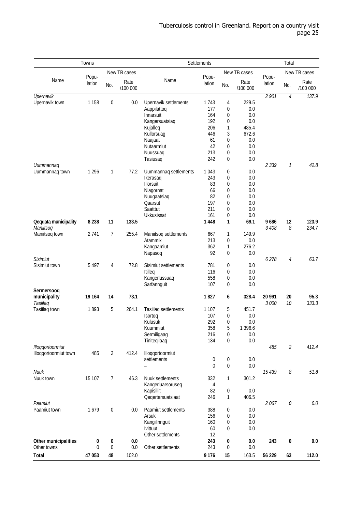|                       | Towns           |                  |                  | Settlements                     |                 |                  |                  |                 |                             |                  |
|-----------------------|-----------------|------------------|------------------|---------------------------------|-----------------|------------------|------------------|-----------------|-----------------------------|------------------|
|                       | Popu-<br>lation |                  | New TB cases     |                                 |                 |                  | New TB cases     |                 |                             | New TB cases     |
| Name                  |                 | No.              | Rate<br>/100 000 | Name                            | Popu-<br>lation | No.              | Rate<br>/100 000 | Popu-<br>lation | No.                         | Rate<br>/100 000 |
| Upernavik             |                 |                  |                  |                                 |                 |                  |                  | 2 901           | $\overline{4}$              | 137.9            |
| Upernavik town        | 1 1 5 8         | 0                | 0.0              | Upernavik settlements           | 1743            | 4                | 229.5            |                 |                             |                  |
|                       |                 |                  |                  | Aappilattoq                     | 177             | 0                | 0.0              |                 |                             |                  |
|                       |                 |                  |                  | Innarsuit                       | 164             | 0                | 0.0              |                 |                             |                  |
|                       |                 |                  |                  | Kangersuatsiaq<br>Kujalleq      | 192<br>206      | 0<br>1           | 0.0<br>485.4     |                 |                             |                  |
|                       |                 |                  |                  | Kullorsuag                      | 446             | 3                | 672.6            |                 |                             |                  |
|                       |                 |                  |                  | Naajaat                         | 61              | 0                | 0.0              |                 |                             |                  |
|                       |                 |                  |                  | Nutaarmiut                      | 42              | 0                | 0.0              |                 |                             |                  |
|                       |                 |                  |                  | Nuussuag                        | 213             | 0                | 0.0              |                 |                             |                  |
|                       |                 |                  |                  | Tasiusaq                        | 242             | $\mathbf 0$      | 0.0              |                 |                             |                  |
| Uummannaq             |                 |                  |                  |                                 |                 |                  |                  | 2339            | $\mathcal I$                | 42.8             |
| Uummannaq town        | 1 2 9 6         | 1                | 77.2             | Uummannaq settlements           | 1043            | 0                | 0.0              |                 |                             |                  |
|                       |                 |                  |                  | Ikerasag                        | 243             | 0                | 0.0              |                 |                             |                  |
|                       |                 |                  |                  | Illorsuit                       | 83<br>66        | 0<br>0           | 0.0<br>0.0       |                 |                             |                  |
|                       |                 |                  |                  | Niagornat<br>Nuugaatsiaq        | 82              | 0                | 0.0              |                 |                             |                  |
|                       |                 |                  |                  | Qaarsut                         | 197             | $\mathbf 0$      | 0.0              |                 |                             |                  |
|                       |                 |                  |                  | Saatttut                        | 211             | 0                | 0.0              |                 |                             |                  |
|                       |                 |                  |                  | Ukkusissat                      | 161             | 0                | 0.0              |                 |                             |                  |
| Qeqqata municipality  | 8 2 3 8         | 11               | 133.5            |                                 | 1448            | 1                | 69.1             | 9686            | 12                          | 123.9            |
| Maniitsog             |                 |                  |                  |                                 |                 |                  |                  | 3 408           | 8                           | 234.7            |
| Maniitsog town        | 2 7 4 1         | 7                | 255.4            | Maniitsoq settlements           | 667             | 1                | 149.9            |                 |                             |                  |
|                       |                 |                  |                  | Atammik                         | 213             | 0                | 0.0              |                 |                             |                  |
|                       |                 |                  |                  | Kangaamiut                      | 362             | 1                | 276.2            |                 |                             |                  |
| <b>Sisimiut</b>       |                 |                  |                  | Napasoq                         | 92              | 0                | 0.0              |                 |                             | 63.7             |
| Sisimiut town         | 5 4 9 7         | 4                | 72.8             | Sisimiut settlements            | 781             | 0                | 0.0              | 6278            | $\overline{4}$              |                  |
|                       |                 |                  |                  | Itilleq                         | 116             | 0                | 0.0              |                 |                             |                  |
|                       |                 |                  |                  | Kangerlussuaq                   | 558             | 0                | 0.0              |                 |                             |                  |
|                       |                 |                  |                  | Sarfannguit                     | 107             | 0                | 0.0              |                 |                             |                  |
| Sermersoog            |                 |                  |                  |                                 |                 |                  |                  |                 |                             |                  |
| municipality          | 19 164          | 14               | 73.1             |                                 | 1827            | 6                | 328.4            | 20 991          | 20                          | 95.3             |
| Tasiilag              |                 |                  |                  |                                 |                 |                  |                  | 3000            | 10                          | 333.3            |
| Tasiilaq town         | 1893            | 5                | 264.1            | Tasiilaq settlements            | 1 1 0 7         | 5                | 451.7            |                 |                             |                  |
|                       |                 |                  |                  | Isortoq<br>Kulusuk              | 107<br>292      | $\mathbf 0$<br>0 | 0.0<br>0.0       |                 |                             |                  |
|                       |                 |                  |                  | Kuummiut                        | 358             | 5                | 1 3 9 6.6        |                 |                             |                  |
|                       |                 |                  |                  | Sermiligaag                     | 216             | 0                | 0.0              |                 |                             |                  |
|                       |                 |                  |                  | Tiniteqilaaq                    | 134             | 0                | 0.0              |                 |                             |                  |
| Illoggortoormiut      |                 |                  |                  |                                 |                 |                  |                  | 485             | $\mathcal{L}_{\mathcal{L}}$ | 412.4            |
| Illoqqortoormiut town | 485             | $\overline{2}$   | 412.4            | Illoqqortoormiut                |                 |                  |                  |                 |                             |                  |
|                       |                 |                  |                  | settlements                     | 0               | 0                | 0.0              |                 |                             |                  |
|                       |                 |                  |                  | L.                              | $\overline{0}$  | $\boldsymbol{0}$ | 0.0              |                 |                             |                  |
| Nuuk                  |                 |                  |                  |                                 |                 |                  |                  | 15 439          | $\mathcal S$                | 51.8             |
| Nuuk town             | 15 107          | 7                | 46.3             | Nuuk settlements                | 332             | 1                | 301.2            |                 |                             |                  |
|                       |                 |                  |                  | Kangerluarsoruseq<br>Kapisillit | 4<br>82         | 0                | 0.0              |                 |                             |                  |
|                       |                 |                  |                  | Qeqertarsuatsiaat               | 246             | 1                | 406.5            |                 |                             |                  |
| Paamiut               |                 |                  |                  |                                 |                 |                  |                  | 2067            | $\mathcal O$                | 0.0              |
| Paamiut town          | 1679            | $\boldsymbol{0}$ | 0.0              | Paamiut settlements             | 388             | 0                | 0.0              |                 |                             |                  |
|                       |                 |                  |                  | Arsuk                           | 156             | 0                | 0.0              |                 |                             |                  |
|                       |                 |                  |                  | Kangilinnguit                   | 160             | 0                | 0.0              |                 |                             |                  |
|                       |                 |                  |                  | <b>lvittuut</b>                 | 60              | 0                | 0.0              |                 |                             |                  |
|                       |                 |                  |                  | Other settlements               | 12              |                  |                  |                 |                             |                  |
| Other municipalities  | 0<br>$\Omega$   | 0                | 0.0              |                                 | 243             | 0                | 0.0              | 243             | 0                           | 0.0              |
| Other towns           |                 | $\boldsymbol{0}$ | 0.0              | Other settlements               | 243             | 0                | 0.0              |                 |                             |                  |
| Total                 | 47 053          | 48               | 102.0            |                                 | 9 1 7 6         | 15               | 163.5            | 56 229          | 63                          | 112.0            |